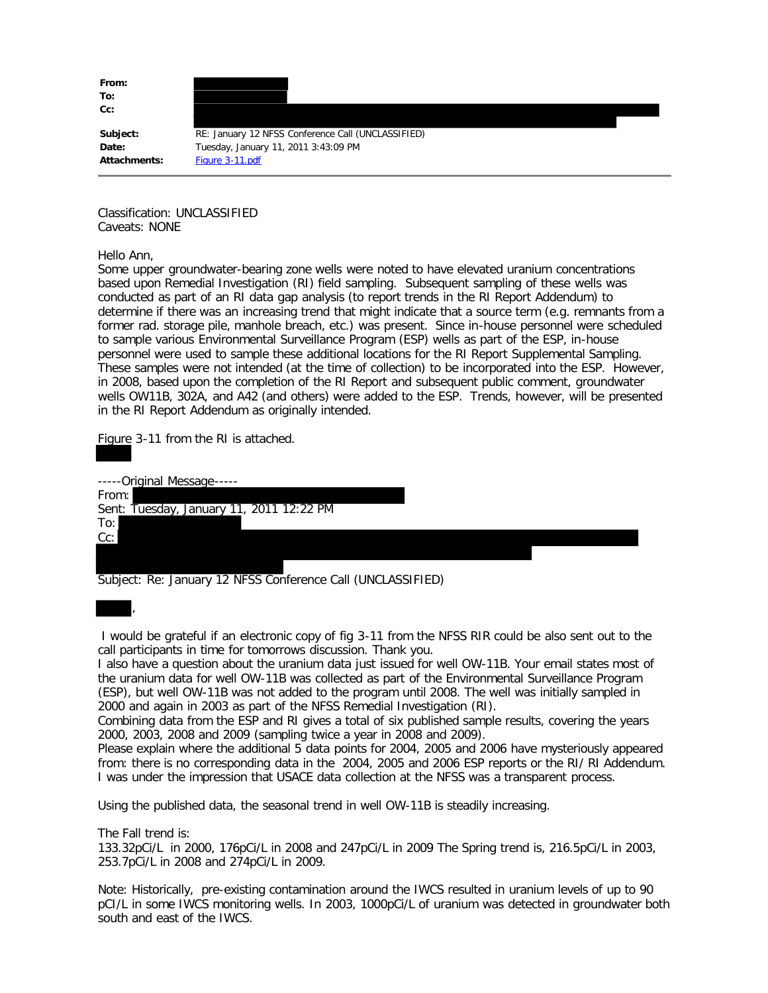**From: To: Cc:**

Subject: RE: January 12 NFSS Conference Call (UNCLASSIFIED) **Date:** Tuesday, January 11, 2011 3:43:09 PM Attachments: Figure 3-11.pdf

Classification: UNCLASSIFIED Caveats: NONE

Hello Ann,

Some upper groundwater-bearing zone wells were noted to have elevated uranium concentrations based upon Remedial Investigation (RI) field sampling. Subsequent sampling of these wells was conducted as part of an RI data gap analysis (to report trends in the RI Report Addendum) to determine if there was an increasing trend that might indicate that a source term (e.g. remnants from a former rad. storage pile, manhole breach, etc.) was present. Since in-house personnel were scheduled to sample various Environmental Surveillance Program (ESP) wells as part of the ESP, in-house personnel were used to sample these additional locations for the RI Report Supplemental Sampling. These samples were not intended (at the time of collection) to be incorporated into the ESP. However, in 2008, based upon the completion of the RI Report and subsequent public comment, groundwater wells OW11B, 302A, and A42 (and others) were added to the ESP. Trends, however, will be presented in the RI Report Addendum as originally intended.

Figure 3-11 from the RI is attached.

| -----Original Message-----               |  |  |
|------------------------------------------|--|--|
| From:                                    |  |  |
| Sent: Tuesday, January 11, 2011 12:22 PM |  |  |
| To:                                      |  |  |
| Cc:                                      |  |  |
|                                          |  |  |
|                                          |  |  |

Subject: Re: January 12 NFSS Conference Call (UNCLASSIFIED)

I would be grateful if an electronic copy of fig 3-11 from the NFSS RIR could be also sent out to the call participants in time for tomorrows discussion. Thank you.

I also have a question about the uranium data just issued for well OW-11B. Your email states most of the uranium data for well OW-11B was collected as part of the Environmental Surveillance Program (ESP), but well OW-11B was not added to the program until 2008. The well was initially sampled in 2000 and again in 2003 as part of the NFSS Remedial Investigation (RI).

Combining data from the ESP and RI gives a total of six published sample results, covering the years 2000, 2003, 2008 and 2009 (sampling twice a year in 2008 and 2009).

Please explain where the additional 5 data points for 2004, 2005 and 2006 have mysteriously appeared from: there is no corresponding data in the 2004, 2005 and 2006 ESP reports or the RI/ RI Addendum. I was under the impression that USACE data collection at the NFSS was a transparent process.

Using the published data, the seasonal trend in well OW-11B is steadily increasing.

The Fall trend is:

,

133.32pCi/L in 2000, 176pCi/L in 2008 and 247pCi/L in 2009 The Spring trend is, 216.5pCi/L in 2003, 253.7pCi/L in 2008 and 274pCi/L in 2009.

Note: Historically, pre-existing contamination around the IWCS resulted in uranium levels of up to 90 pCI/L in some IWCS monitoring wells. In 2003, 1000pCi/L of uranium was detected in groundwater both south and east of the IWCS.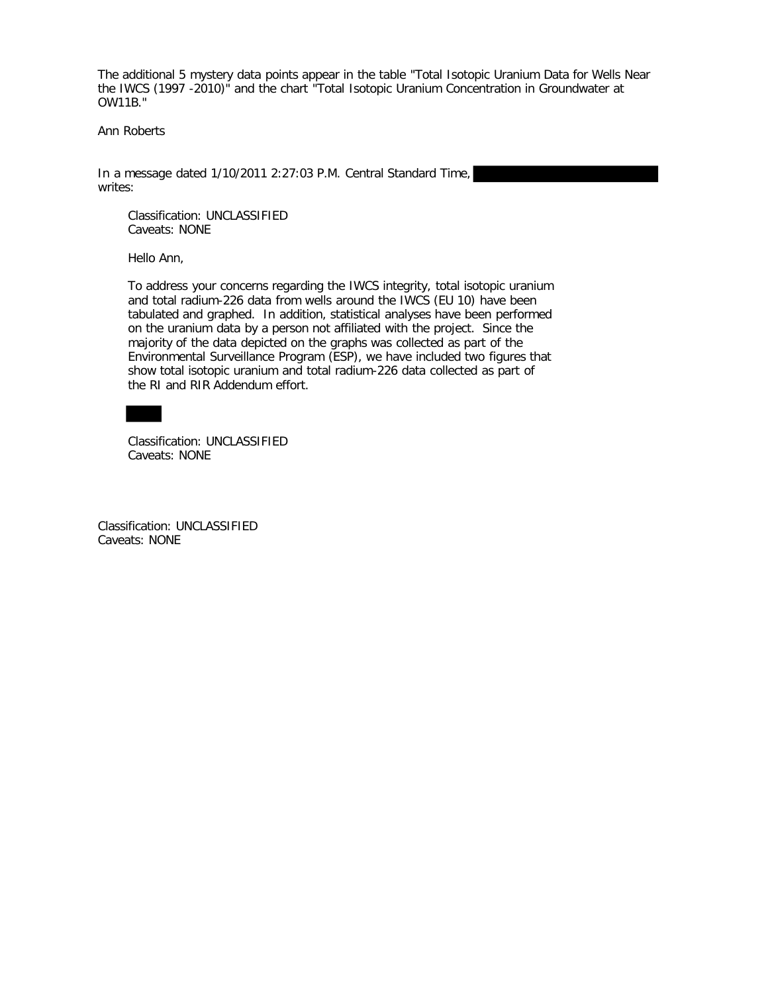The additional 5 mystery data points appear in the table "Total Isotopic Uranium Data for Wells Near the IWCS (1997 -2010)" and the chart "Total Isotopic Uranium Concentration in Groundwater at OW11B."

Ann Roberts

In a message dated 1/10/2011 2:27:03 P.M. Central Standard Time, writes:

 Classification: UNCLASSIFIED Caveats: NONE

Hello Ann,

 To address your concerns regarding the IWCS integrity, total isotopic uranium and total radium-226 data from wells around the IWCS (EU 10) have been tabulated and graphed. In addition, statistical analyses have been performed on the uranium data by a person not affiliated with the project. Since the majority of the data depicted on the graphs was collected as part of the Environmental Surveillance Program (ESP), we have included two figures that show total isotopic uranium and total radium-226 data collected as part of the RI and RIR Addendum effort.

 Classification: UNCLASSIFIED Caveats: NONE

Classification: UNCLASSIFIED Caveats: NONE